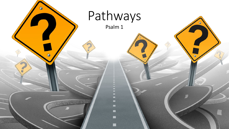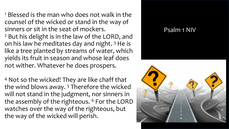- <sup>1</sup> Blessed is the man who does not walk in the counsel of the wicked or stand in the way of sinners or sit in the seat of mockers.
- <sup>2</sup> But his delight is in the law of the LORD, and on his law he meditates day and night.  $3$  He is like a tree planted by streams of water, which yields its fruit in season and whose leaf does not wither. Whatever he does prospers.
- <sup>4</sup> Not so the wicked! They are like chaff that the wind blows away. 5 Therefore the wicked will not stand in the judgment, nor sinners in the assembly of the righteous. <sup>6</sup> For the LORD watches over the way of the righteous, but the way of the wicked will perish.

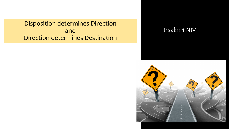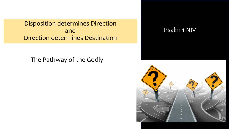The Pathway of the Godly

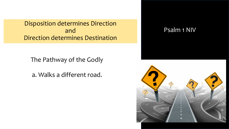The Pathway of the Godly

a. Walks a different road.

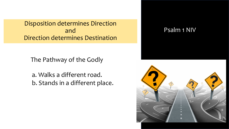The Pathway of the Godly

a. Walks a different road. b. Stands in a different place.

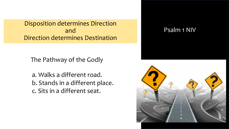The Pathway of the Godly

a. Walks a different road. b. Stands in a different place. c. Sits in a different seat.